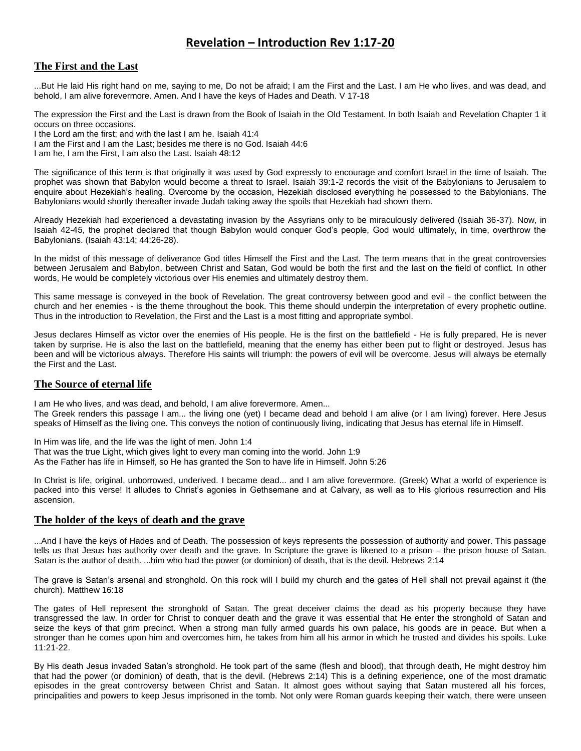# **Revelation – Introduction Rev 1:17-20**

### **The First and the Last**

...But He laid His right hand on me, saying to me, Do not be afraid; I am the First and the Last. I am He who lives, and was dead, and behold, I am alive forevermore. Amen. And I have the keys of Hades and Death. V 17-18

The expression the First and the Last is drawn from the Book of Isaiah in the Old Testament. In both Isaiah and Revelation Chapter 1 it occurs on three occasions.

I the Lord am the first; and with the last I am he. Isaiah 41:4 I am the First and I am the Last; besides me there is no God. Isaiah 44:6 I am he, I am the First, I am also the Last. Isaiah 48:12

The significance of this term is that originally it was used by God expressly to encourage and comfort Israel in the time of Isaiah. The prophet was shown that Babylon would become a threat to Israel. Isaiah 39:1-2 records the visit of the Babylonians to Jerusalem to enquire about Hezekiah's healing. Overcome by the occasion, Hezekiah disclosed everything he possessed to the Babylonians. The Babylonians would shortly thereafter invade Judah taking away the spoils that Hezekiah had shown them.

Already Hezekiah had experienced a devastating invasion by the Assyrians only to be miraculously delivered (Isaiah 36-37). Now, in Isaiah 42-45, the prophet declared that though Babylon would conquer God's people, God would ultimately, in time, overthrow the Babylonians. (Isaiah 43:14; 44:26-28).

In the midst of this message of deliverance God titles Himself the First and the Last. The term means that in the great controversies between Jerusalem and Babylon, between Christ and Satan, God would be both the first and the last on the field of conflict. In other words, He would be completely victorious over His enemies and ultimately destroy them.

This same message is conveyed in the book of Revelation. The great controversy between good and evil - the conflict between the church and her enemies - is the theme throughout the book. This theme should underpin the interpretation of every prophetic outline. Thus in the introduction to Revelation, the First and the Last is a most fitting and appropriate symbol.

Jesus declares Himself as victor over the enemies of His people. He is the first on the battlefield - He is fully prepared, He is never taken by surprise. He is also the last on the battlefield, meaning that the enemy has either been put to flight or destroyed. Jesus has been and will be victorious always. Therefore His saints will triumph: the powers of evil will be overcome. Jesus will always be eternally the First and the Last.

#### **The Source of eternal life**

I am He who lives, and was dead, and behold, I am alive forevermore. Amen...

The Greek renders this passage I am... the living one (yet) I became dead and behold I am alive (or I am living) forever. Here Jesus speaks of Himself as the living one. This conveys the notion of continuously living, indicating that Jesus has eternal life in Himself.

In Him was life, and the life was the light of men. John 1:4

That was the true Light, which gives light to every man coming into the world. John 1:9

As the Father has life in Himself, so He has granted the Son to have life in Himself. John 5:26

In Christ is life, original, unborrowed, underived. I became dead... and I am alive forevermore. (Greek) What a world of experience is packed into this verse! It alludes to Christ's agonies in Gethsemane and at Calvary, as well as to His glorious resurrection and His ascension.

#### **The holder of the keys of death and the grave**

...And I have the keys of Hades and of Death. The possession of keys represents the possession of authority and power. This passage tells us that Jesus has authority over death and the grave. In Scripture the grave is likened to a prison – the prison house of Satan. Satan is the author of death. ...him who had the power (or dominion) of death, that is the devil. Hebrews 2:14

The grave is Satan's arsenal and stronghold. On this rock will I build my church and the gates of Hell shall not prevail against it (the church). Matthew 16:18

The gates of Hell represent the stronghold of Satan. The great deceiver claims the dead as his property because they have transgressed the law. In order for Christ to conquer death and the grave it was essential that He enter the stronghold of Satan and seize the keys of that grim precinct. When a strong man fully armed guards his own palace, his goods are in peace. But when a stronger than he comes upon him and overcomes him, he takes from him all his armor in which he trusted and divides his spoils. Luke 11:21-22.

By His death Jesus invaded Satan's stronghold. He took part of the same (flesh and blood), that through death, He might destroy him that had the power (or dominion) of death, that is the devil. (Hebrews 2:14) This is a defining experience, one of the most dramatic episodes in the great controversy between Christ and Satan. It almost goes without saying that Satan mustered all his forces, principalities and powers to keep Jesus imprisoned in the tomb. Not only were Roman guards keeping their watch, there were unseen